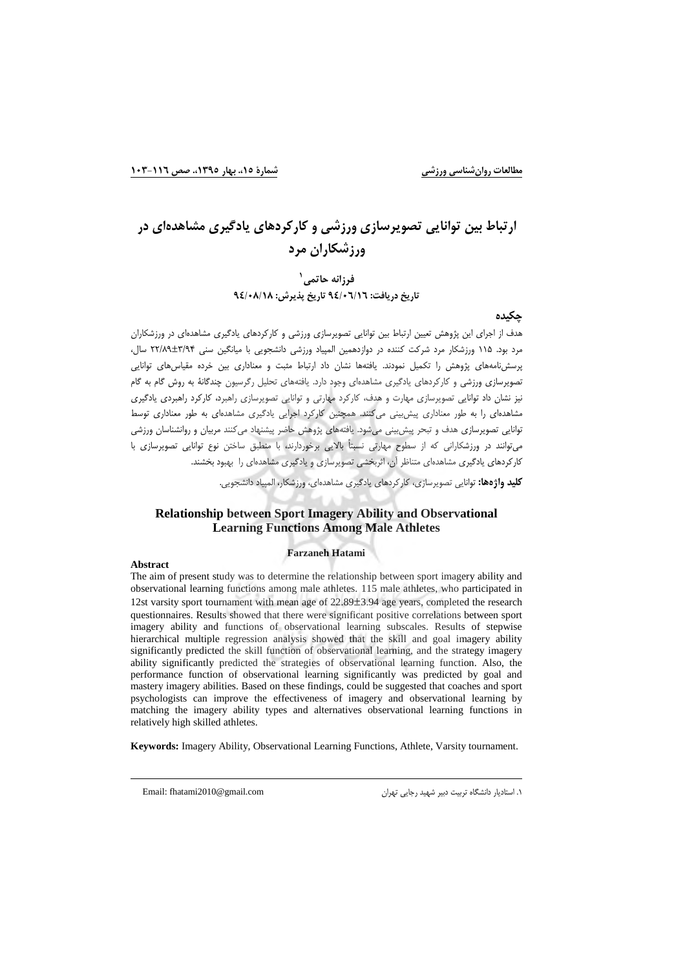# ارتباط بین توانایی تصویرسازی ورزشی و کارکردهای یادگیری مشاهدهای در ورزشکاران مرد

فرزانه حاتمي ` تاریخ دریافت: ۹٤/۰٦/۱٦ تاریخ پذیرش: ۹٤/۰۸/۱۸

#### چکیدہ

هدف از اجرای این پژوهش تعیین ارتباط بین توانایی تصویرسازی ورزشی و کارکردهای یادگیری مشاهدهای در ورزشکاران مرد بود. ۱۱۵ ورزشکار مرد شرکت کننده در دوازدهمین المپیاد ورزشی دانشجویی با میانگین سنی ۳/۸۴±۲/۸۹ سال، پرسشنامههای پژوهش را تکمیل نمودند. یافتهها نشان داد ارتباط مثبت و معناداری بین خرده مقیاسهای توانایی تصویرسازی ورزشی و کارکردهای یادگیری مشاهدهای وجود دارد. یافتههای تحلیل رگرسیون چندگانهٔ به روش گام به گام نیز نشان داد توانایی تصویرسازی مهارت و هدف، کارکرد مهارتی و توانایی تصویرسازی راهبرد، کارکرد راهبردی بادگیری مشاهدهای را به طور معناداری پیش بینی میکنند. همچنین کارکرد اجرایی یادگیری مشاهدهای به طور معناداری توسط توانایی تصویرسازی هدف و تبحر پیش بینی می شود. یافتههای پژوهش حاضر پیشنهاد می کنند مربیان و روانشناسان ورزشی می توانند در ورزشکارانی که از سطوح مهارتی نسبتاً بالایی برخوردارند، با منطبق ساختن نوع توانایی تصویرسازی با کارکردهای یادگیری مشاهدهای متناظر آن، اثربخشی تصویرسازی و یادگیری مشاهدهای را بهبود بخشند.

**کلید واژهها:** توانایی تصویرسازی، کارکردهای بادگیری مشاهدهای، ورزشکار، المپیاد دانشجویی.

### **Relationship between Sport Imagery Ability and Observational Learning Functions Among Male Athletes**

#### **Farzaneh Hatami**

#### Abstract

The aim of present study was to determine the relationship between sport imagery ability and observational learning functions among male athletes. 115 male athletes, who participated in 12st varsity sport tournament with mean age of 22.89±3.94 age years, completed the research questionnaires. Results showed that there were significant positive correlations between sport imagery ability and functions of observational learning subscales. Results of stepwise hierarchical multiple regression analysis showed that the skill and goal imagery ability significantly predicted the skill function of observational learning, and the strategy imagery ability significantly predicted the strategies of observational learning function. Also, the performance function of observational learning significantly was predicted by goal and mastery imagery abilities. Based on these findings, could be suggested that coaches and sport psychologists can improve the effectiveness of imagery and observational learning by matching the imagery ability types and alternatives observational learning functions in relatively high skilled athletes.

Keywords: Imagery Ability, Observational Learning Functions, Athlete, Varsity tournament.

Email: fhatami2010@gmail.com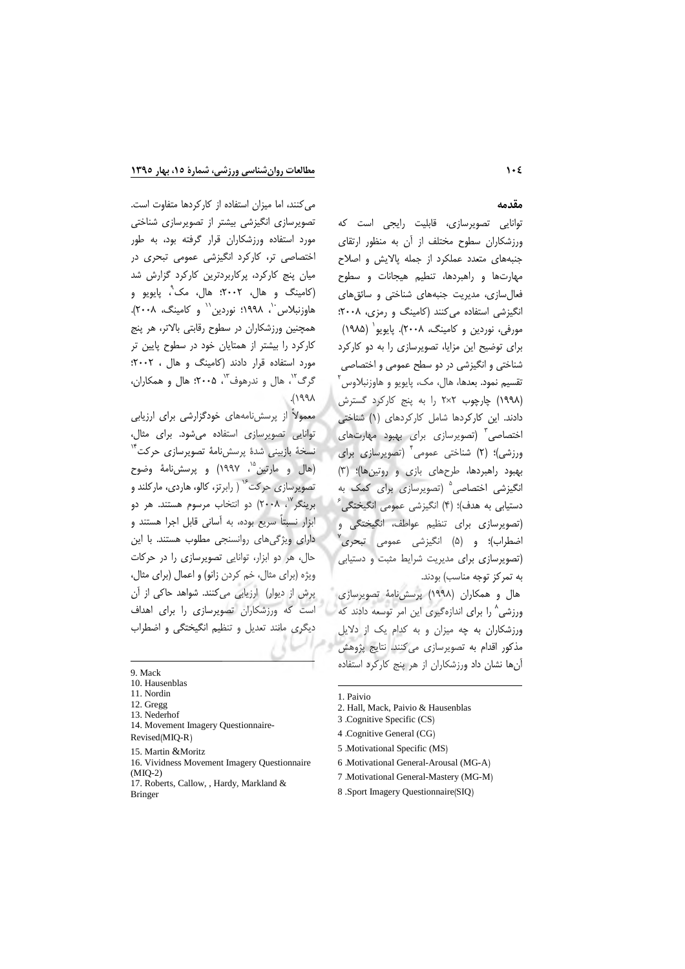می کنند، اما میزان استفاده از کارکردها متفاوت است.

تصویرسازی انگیزشی بیشتر از تصویرسازی شناختی

مورد استفاده ورزشكاران قرار گرفته بود، به طور

اختصاصی تر، کارکرد انگیزشی عمومی تبحری در

میان پنج کارکرد، پرکاربردترین کارکرد گزارش شد

(کامینگ و هال، ۲۰۰۲؛ هال، مک ْ، پایویو و

هاوزنبلاس ``، ١٩٩٨؛ نوردين`` و كامينگ، ٢٠٠٨).

همچنین ورزشکاران در سطوح رقابتی بالاتر، هر پنج

کارکرد را بیشتر از همتایان خود در سطوح پایین تر

مورد استفاده قرار دادند (کامینگ و هال ، ۲۰۰۲:

گرگ<sup>۰۲</sup>، هال و ندرهوف<sup>۱۳</sup>، ۲۰۰۵؛ هال و همکاران،

معمولاً از پرسشنامههای خودگزارشی برای ارزیابی

توانایی تصویرسازی استفاده میشود. برای مثال،

نسخة بازبيني شدة پرسشiامة تصويرسازى حركت<sup>۱۴</sup>

(هال و مارتین<sup>۱۵</sup>، ۱۹۹۷) و پرسشiامهٔ وضوح

تصویرسازی حرکت<sup>۶۶</sup> ( رابرتز، کالو، هاردی، مارکلند و

برینگر<sup>۱۷</sup>، ۲۰۰۸) دو انتخاب مرسوم هستند. هر دو

ابزار نسبتاً سریع بوده، به آسانی قابل اجرا هستند و

دارای ویژگی های روانسنجی مطلوب هستند. با این

حال، هر دو ابزار، توانایی تصویرسازی را در حرکات

ویژه (برای مثال، خم کردن زانو) و اعمال (برای مثال،

پرش از دیوار) ارزیابی میکنند. شواهد حاکی از آن

است که ورزشکاران تصویرسازی را برای اهداف

دیگری مانند تعدیل و تنظیم انگیختگی و اضطراب

 $API$ ).

### مقدمه

توانایی تصویرسازی، قابلیت رایجی است که ورزشکاران سطوح مختلف از آن به منظور ارتقای جنبههای متعدد عملکرد از جمله پالایش و اصلاح مهارتها و راهبردها، تنطیم هیجانات و سطوح فعال سازی، مدیریت جنبههای شناختی و سائق های انگیزشی استفاده می کنند (کامینگ و رمزی، ۲۰۰۸: مورفي، نوردين و كامينگ، ٢٠٠٨). پايويو` (١٩٨۵) برای توضیح این مزایا، تصویرسازی را به دو کارکرد شناختی و انگیزشی در دو سطح عمومی و اختصاصی تقسیم نمود. بعدها، هال، مک، پایویو و هاوزنبلاوس ٔ (١٩٩٨) چارچوب ٢×٢ را به پنج كاركرد گسترش دادند. این کارکردها شامل کارکردهای (۱) شناختی اختصاصی<sup>۳</sup> (تصویرسازی برای بهبود مهارتهای ورزشی)؛ (۲) شناختی عمومی<sup>۴</sup> (تصویرسازی برای بهبود راهبردها، طرحهای بازی و روتینها)؛ (۳) انگیزشی اختصاصی<sup>۵</sup> (تصویرسازی برای کمک به دستیابی به هدف)؛ (۴) انگیزشی عمومی انگیختگی<sup>۶</sup> (تصویرسازی برای تنظیم عواطف، انگیختگی و اضطراب)؛ و (۵) انگیزشی عمومی تبحری (تصویرسازی برای مدیریت شرایط مثبت و دستیابی به تمرکز توجه مناسب) بودند.

هال و همكاران (١٩٩٨) پرسش نامهٔ تصويرسازى ورزشی^ را برای اندازهگیری این امر توسعه دادند که ورزشکاران به چه میزان و به کدام یک از دلایل مذکور اقدام به تصویرسازی میکنند. نتایج پژوهش آنها نشان داد ورزشکاران از هر پنج کارکرد استفاده

- 16. Vividness Movement Imagery Questionnaire  $(MIO-2)$
- 17. Roberts, Callow, , Hardy, Markland & **Bringer**
- 1. Paivio
- 2. Hall, Mack, Paivio & Hausenblas
- 3 .Cognitive Specific (CS)
- 4 .Cognitive General (CG)
- 5 .Motivational Specific (MS)
- 6 Motivational General-Arousal (MG-A) 7 .Motivational General-Mastery (MG-M)
- 8 .Sport Imagery Questionnaire (SIQ)

<sup>9.</sup> Mack

<sup>10.</sup> Hausenblas

<sup>11.</sup> Nordin

<sup>12.</sup> Gregg

<sup>13</sup> Nederhof

<sup>14.</sup> Movement Imagery Questionnaire-

Revised(MIQ-R)

<sup>15.</sup> Martin & Moritz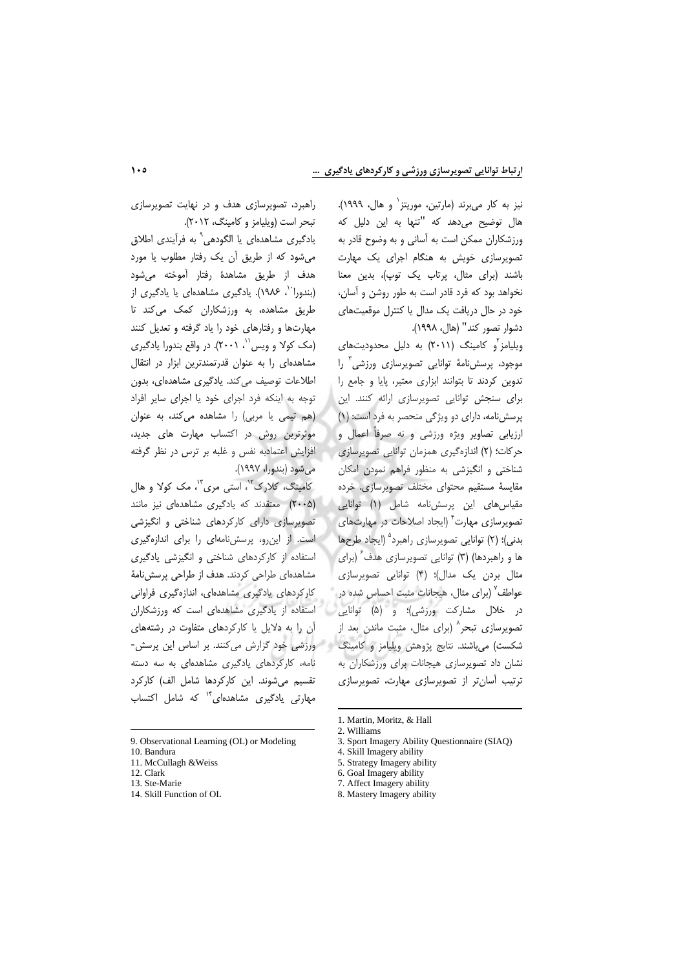نیز به کار میبرند (مارتین، موریتز` و هال، ۱۹۹۹). هال توضیح می<mark>دهد که "تنها به این دلیل که</mark> ورزشکاران ممکن است به آسانی و به وضوح قادر به تصویرسازی خویش به هنگام اجرای یک مهارت باشند (برای مثال، پرتاب یک توپ)، بدین معنا نخواهد بود که فرد قادر است به طور روشن و آسان، خود در حال دریافت یک مدال یا کنترل موقعیتهای دشوار تصور كند" (هال، ١٩٩٨).

ویلیامز<sup>۲</sup>و کامینگ (۲۰۱۱) به دلیل محدودیتهای موجود، پرسشiامهٔ توانایی تصویرسازی ورزشی<sup>۳</sup> را تدوین کردند تا بتوانند ابزاری معتبر، پایا و جامع را برای سنجش توانایی تصویرسازی ارائه کنند. این پرسش نامه، دارای دو ویژگی منحصر به فرد است: (١) ارزیابی تصاویر ویژه ورزشی و نه صرفاً اعمال و حركات؛ (٢) اندازهگیری همزمان توانایی تصویرسازی شناختی و انگیزشی به منظور فراهم نمودن امکان مقايسهٔ مستقيم محتواي مختلف تصويرسازي. خرده مقیاس های این پرسش نامه شامل (۱) توانایی تصویرسازی مهارت<sup>۴</sup> (ایجاد اصلاحات در مهارتهای بدنی)؛ (۲) توانایی تصویرسازی راهبرد<sup>۵</sup> (ایجاد طرحها ها و راهبردها) (۳) توانایی تصویرسازی هدف ٔ (برای مثال بردن یک مدال)؛ (۴) توانایی تصویرسازی عواطف<sup>۷</sup> (برای مثال، هیجانات مثبت احساس شده در در خلال مشارکت ورزشی)؛ و (۵) توانایی تصویرسازی تبحر<sup>^</sup> (برای مثال، مثبت ماندن بعد از شكست) مى باشند. نتايج پژوهش ويليامز و كامينگ در ورزشى خود گزارش مى كنند. بر اساس اين پرسش-نشان داد تصویرسازی هیجانات برای ورزشکاران به ترتیب آسان تر از تصویرسازی مهارت، تصویرسازی

راهبرد، تصویرسازی هدف و در نهایت تصویرسازی تبحر است (ویلیامز و کامینگ، ۲۰۱۲).

یادگیری مشاهدهای یا الگودهی ْ به فرآیندی اطلاق می شود که از طریق آن یک رفتار مطلوب یا مورد هدف از طريق مشاهدهٔ رفتار آموخته می شود (بندورا<sup>۰٬</sup>، ۱۹۸۶). یادگیری مشاهدهای یا یادگیری از طریق مشاهده، به ورزشکاران کمک میکند تا مهارتها و رفتارهای خود را یاد گرفته و تعدیل کنند (مک کولا و ویس''، ۲۰۰۱). در واقع بندورا یادگیری مشاهدهای را به عنوان قدرتمندترین ابزار در انتقال اطلاعات توصیف می کند. یادگیری مشاهدهای، بدون توجه به اینکه فرد اجرای خود یا اجرای سایر افراد (هم تیمی یا مربی) را مشاهده می کند، به عنوان موثرترین روش در اکتساب مهارت های جدید، افزایش اعتمادبه نفس و غلبه بر ترس در نظر گرفته مي شود (بندورا، ۱۹۹۷).

کامینگ، کلارک"، استی مری<sup>"</sup>، مک کولا و هال (۲۰۰۵) معتقدند که یادگیری مشاهدهای نیز مانند تصویرسازی دارای کارکردهای شناختی و انگیزشی است. از این رو، پرسش نامهای را برای اندازهگیری استفاده از کارکردهای شناختی و انگیزشی یادگیری مشاهدهای طراحی کردند. هدف از طراحی پرسش نامهٔ كاركردهاى يادكيرى مشاهدهاى، اندازهگيرى فراوانى استفاده از یادگیری مشاهدهای است که ورزشکاران آن را به دلایل یا کارکردهای متفاوت در رشتههای نامه، کارکردهای یادگیری مشاهدهای به سه دسته تقسیم می شوند. این کارکردها شامل الف) کارکرد مهارتی یادگیری مشاهدهای<sup>۱۴</sup> که شامل اکتساب

<sup>9.</sup> Observational Learning (OL) or Modeling

<sup>10.</sup> Bandura

<sup>11.</sup> McCullagh & Weiss 12. Clark

<sup>13.</sup> Ste-Marie

<sup>14.</sup> Skill Function of OL

<sup>1.</sup> Martin, Moritz, & Hall 2. Williams

<sup>3.</sup> Sport Imagery Ability Questionnaire (SIAQ)

<sup>4.</sup> Skill Imagery ability

<sup>5.</sup> Strategy Imagery ability

<sup>6.</sup> Goal Imagery ability

<sup>7.</sup> Affect Imagery ability

<sup>8.</sup> Mastery Imagery ability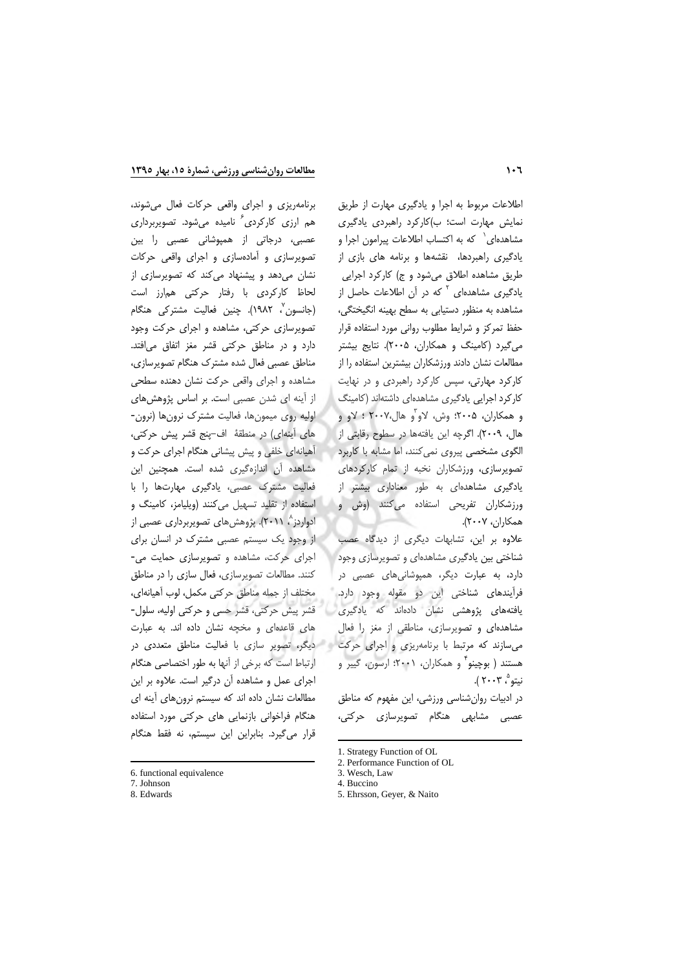برنامهریزی و اجرای واقعی حرکات فعال می شوند،

هم ارزی کارکردی ٔ نامیده میشود. تصویربرداری

عصبی، درجاتی از همپوشانی عصبی را بین

تصویرسازی و آمادهسازی و اجرای واقعی حرکات

نشان می دهد و پیشنهاد می کند که تصویرسازی از

لحاظ كاركردى با رفتار حركتى همارز است

(جانسون<sup>'</sup>، ۱۹۸۲). چنین فعالیت مشترکی هنگام تصویرسازی حرکتی، مشاهده و اجرای حرکت وجود

دارد و در مناطق حرکتی قشر مغز اتفاق می افتد.

مناطق عصبی فعال شده مشترک هنگام تصویرسازی،

مشاهده واجراى واقعى حركت نشان دهنده سطحى

از آینه ای شدن عصبی است. بر اساس پژوهش های

اولیه روی میمونها، فعالیت مشترک نرونها (نرون-های آینهای) در منطقهٔ اف-پنج قشر پیش حرکتی،

آهیانهای خلفی و پیش پیشانی هنگام اجرای حرکت و مشاهده آن اندازهگیری شده است. همچنین این

فعالیت مشترک عصبی، یادگیری مهارتها را با

استفاده از تقلید تسهیل می کنند (ویلیامز، کامینگ و

ادواردز ۲۰۱۱). پژوهشهای تصویربرداری عصبی از

از وجود یک سیستم عصبی مشترک در انسان برای

اجرای حرکت، مشاهده و تصویرسازی حمایت می-

كنند. مطالعات تصويرسازي، فعال سازي را در مناطق

مختلف از جمله مناطق حرکتی مکمل، لوب آهیانهای،

قشر پیش حرکتی، قشر حسی و حرکتی اولیه، سلول-

های قاعدهای و مخچه نشان داده اند. به عبارت

ارتباط است که برخی از آنها به طور اختصاصی هنگام

اجرای عمل و مشاهده آن درگیر است. علاوه بر این

مطالعات نشان داده اند که سیستم نرونهای آینه ای

هنگام فراخوانی بازنمایی های حرکتی مورد استفاده

قرار می گیرد. بنابراین این سیستم، نه فقط هنگام

اطلاعات مربوط به اجرا و یادگیری مهارت از طریق نمایش مهارت است؛ ب)کارکرد راهبردی یادگیری مشاهدهای ` که به اکتساب اطلاعات پیرامون اجرا و یادگیری راهبردها، نقشهها و برنامه های بازی از طریق مشاهده اطلاق میشود و ج) کارکرد اجرایی یادگیری مشاهدهای <sup>۲</sup> که در آن اطلاعات حاصل از مشاهده به منظور دستیابی به سطح بهینه انگیختگی، حفظ تمركز و شرايط مطلوب رواني مورد استفاده قرار می گیرد (کامینگ و همکاران، ۲۰۰۵). نتایج بیشتر مطالعات نشان دادند ورزشكاران بيشترين استفاده را از کارکرد مهارتی، سپس کارکرد راهبردی و در نهایت کار کرد اجرایی یادگیری مشاهدهای داشتهاند (کامینگ و همکاران، ۲۰۰۵؛ وش، لاو ّو هال،۲۰۰۷ ؛ لاو و هال، ٢٠٠٩). اگرچه اين يافتهها در سطوح رقابتى از الگوی مشخصی پیروی نمی کنند، اما مشابه با کاربرد تصویرسازی، ورزشکاران نخبه از تمام کارکردهای یادگیری مشاهدهای به طور معناداری بیشتر از ورزشکاران تفریحی استفاده میکنند (وش و همكاران، ٢٠٠٧).

علاوه بر این، تشابهات دیگری از دیدگاه عصب شناختی بین یادگیری مشاهدهای و تصویرسازی وجود دارد، به عبارت دیگر، همپوشانیهای عصبی در فرآیندهای شناختی این دو مقوله وجود دارد. یافتههای پژوهشی نشان دادهاند که یادگیری مشاهدهای و تصویرسازی، مناطقی از مغز را فعال میسازند که مرتبط با برنامهریزی و اجرای حرکت می دیگر، تصویر سازی با فعالیت مناطق متعددی در هستند ( بوچینو ٌ و همکاران، ۲۰۰۱؛ ارسون، گییر و نيتو "، ۲۰۰۳ ).

در ادبیات روان شناسی ورزشی، این مفهوم که مناطق عصبی مشابهی هنگام تصویرسازی حرکتی،

<sup>6.</sup> functional equivalence

<sup>7.</sup> Johnson

<sup>8.</sup> Edwards

<sup>1.</sup> Strategy Function of OL

<sup>2.</sup> Performance Function of OL 3. Wesch, Law

<sup>4.</sup> Buccino

<sup>5.</sup> Ehrsson, Geyer, & Naito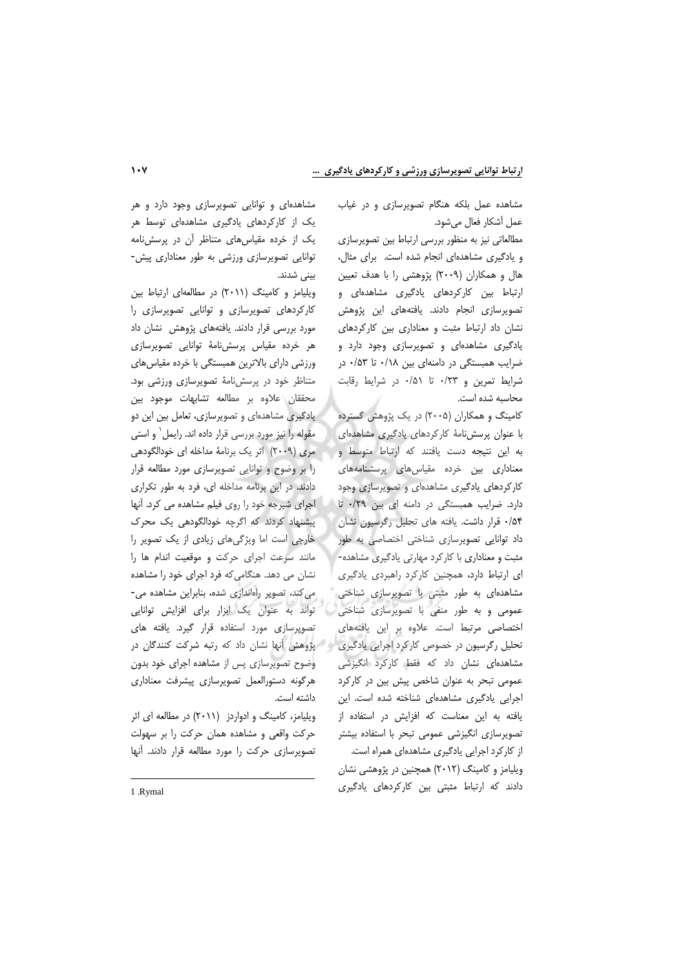مشاهدهای و توانایی تصویرسازی وجود دارد و هر یک از کارکردهای یادگیری مشاهدهای توسط هر یک از خرده مقیاسهای متناظر آن در پرسشنامه توانایی تصویرسازی ورزشی به طور معناداری پیش-بينى شدند.

ویلیامز و کامینگ (۲۰۱۱) در مطالعهای ارتباط بین کارکردهای تصویرسازی و توانایی تصویرسازی را مورد بررسی قرار دادند. یافتههای پژوهش نشان داد هر خرده مقیاس پرسش نامهٔ توانایی تصویرسازی ورزشی دارای بالاترین همبستگی با خرده مقیاس های متناظر خود در پرسشنامهٔ تصویرسازی ورزشی بود. محققان علاوه بر مطالعه تشابهات موجود بین یادگیری مشاهدهای و تصویرسازی، تعامل بین این دو مقوله را نیز مورد بررسی قرار داده اند. رایمل` و استی مری (۲۰۰۹) اثر یک برنامهٔ مداخله ای خودالگودهی را بر وضوح و توانایی تصویرسازی مورد مطالعه قرار دادند. در این برنامه مداخله ای، فرد به طور تکراری اجرای شیرجه خود را روی فیلم مشاهده می کرد. آنها پیشنهاد کردند که اگرچه خودالگودهی یک محرک خارجی است اما ویژگیهای زیادی از یک تصویر را مانند سرعت اجراى حركت و موقعيت اندام ها را نشان می دهد. هنگامی که فرد اجرای خود را مشاهده می کند، تصویر راهاندازی شده، بنابراین مشاهده می-تواند به عنوان یک ابزار برای افزایش توانایی تصویرسازی مورد استفاده قرار گیرد. یافته های وضوح تصویرسازی پس از مشاهده اجرای خود بدون هرگونه دستورالعمل تصويرسازي پيشرفت معناداري داشته است.

ویلیامز، کامینگ و ادواردز (۲۰۱۱) در مطالعه ای اثر حرکت واقعی و مشاهده همان حرکت را بر سهولت تصویرسازی حرکت را مورد مطالعه قرار دادند. آنها

از کارکرد اجرایی یادگیری مشاهدهای همراه است. دادند که ارتباط مثبتی بین کارکردهای یادگیری

مشاهده عمل بلکه هنگام تصویرسازی و در غیاب عمل أشكار فعال مىشود.

مطالعاتی نیز به منظور بررسی ارتباط بین تصویرسازی و یادگیری مشاهدهای انجام شده است. برای مثال، هال و همکاران (۲۰۰۹) پژوهشی را با هدف تعیین ارتباط بین کارکردهای یادگیری مشاهدهای و تصویرسازی انجام دادند. یافتههای این پژوهش نشان داد ارتباط مثبت و معناداری بین کارکردهای یادگیری مشاهدهای و تصویرسازی وجود دارد و ضرایب همبستگی در دامنهای بین ۰/۱۸ تا ۰/۵۳ در شرایط تمرین و ۰/۲۳ تا ۰/۵۱ در شرایط رقابت محاسبه شده است.

کامینگ و همکاران (۲۰۰۵) در یک پژوهش گسترده با عنوان پرسش نامهٔ کارکردهای یادگیری مشاهدهای به این نتیجه دست یافتند که ارتباط متوسط و معناداری بین خرده مقیاس های پرسشنامههای کارکردهای یادگیری مشاهدهای و تصویرسازی وجود دارد. ضرایب همبستگی در دامنه ای بین ۰/۲۹ تا ۵۴/۰ قرار داشت. یافته های تحلیل رگرسیون نشان داد توانایی تصویرسازی شناختی اختصاصی به طور مثبت و معناداری با کارکرد مهارتی یادگیری مشاهده-ای ارتباط دارد، همچنین کارکرد راهبردی یادگیری مشاهدهای به طور مثبتی با تصویرسازی شناختی عمومی و به طور منفی با تصویرسازی شناختی اختصاصی مرتبط است. علاوه بر این یافتههای تحلیل رگرسیون در خصوص کارکرد اجرایی یادگیری معشق بها نشان داد که رتبه شرکت کنندگان در مشاهدهای نشان داد که فقط کارکرد انگیزشی عمومی تبحر به عنوان شاخص پیش بین در کارکرد اجرایی یادگیری مشاهدهای شناخته شده است. این یافته به این معناست که افزایش در استفاده از تصویرسازی انگیزشی عمومی تبحر با استفاده بیشتر ویلیامز و کامینگ (۲۰۱۲) همچنین در پژوهشی نشان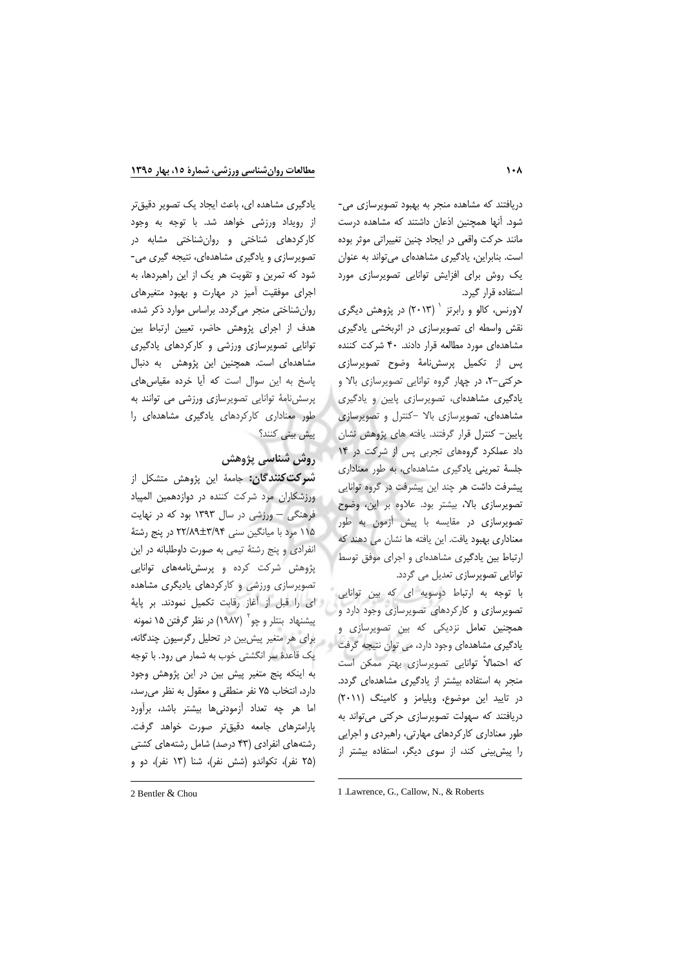دریافتند که مشاهده منجر به بهبود تصویرسازی می-شود. آنها همچنین اذعان داشتند که مشاهده درست مانند حرکت واقعی در ایجاد چنین تغییراتی موثر بوده است. بنابراین، یادگیری مشاهدهای می تواند به عنوان یک روش برای افزایش توانایی تصویرسازی مورد استفاده قرار گیرد.

لاورنس، کالو و رابرتز <sup>۱</sup> (۲۰۱۳) در پژوهش دیگری نقش واسطه ای تصویرسازی در اثربخشی یادگیری مشاهدهای مورد مطالعه قرار دادند. ۴۰ شرکت کننده پس از تکمیل پرسشنامهٔ وضوح تصویرسازی حرکتی-۲، در چهار گروه توانایی تصویرسازی بالا و یادگیری مشاهدهای، تصویرسازی پایین و یادگیری مشاهدهای، تصویرسازی بالا -کنترل و تصویرسازی پایین- کنترل قرار گرفتند. یافته های پژوهش نشان داد عملکرد گروههای تجربی پس از شرکت در ۱۴ جلسهٔ تمرینی یادگیری مشاهدهای، به طور معناداری پیشرفت داشت هر چند این پیشرفت در گروه توانایی تصویرسازی بالا، بیشتر بود. علاوه بر این، وضوح تصویرسازی در مقایسه با پیش آزمون به طور معناداری بهبود یافت. این یافته ها نشان می دهند که ارتباط بین یادگیری مشاهدهای و اجرای موفق توسط توانایی تصویرسازی تعدیل می گردد.

با توجه به ارتباط دوسويه اى كه بين توانايى تصویرسازی و کارکردهای تصویرسازی وجود دارد و همچنین تعامل نزدیکی که بین تصویرسازی و یادگیری مشاهدهای وجود دارد، می توان نتیجه گرفت که احتمالاً توانایی تصویرسازی بهتر ممکن است منجر به استفاده بیشتر از یادگیری مشاهدهای گردد. در تایید این موضوع، ویلیامز و کامینگ (۲۰۱۱) دریافتند که سهولت تصویرسازی حرکتی می تواند به طور معناداری کارکردهای مهارتی، راهبردی و اجرایی را پیش بینی کند، از سوی دیگر، استفاده بیشتر از

یادگیری مشاهده ای، باعث ایجاد یک تصویر دقیقتر از رویداد ورزشی خواهد شد. با توجه به وجود کارکردهای شناختی و روانشناختی مشابه در تصویرسازی و یادگیری مشاهدهای، نتیجه گیری می-شود که تمرین و تقویت هر یک از این راهبردها، به اجرای موفقیت آمیز در مهارت و بهبود متغیرهای روان شناختی منجر می گردد. براساس موارد ذکر شده، هدف از اجرای پژوهش حاضر، تعیین ارتباط بین توانایی تصویرسازی ورزشی و کارکردهای یادگیری مشاهدهای است. همچنین این پژوهش به دنبال پاسخ به این سوال است که آیا خرده مقیاس های پرسش نامهٔ توانایی تصویرسازی ورزشی می توانند به طور معناداری کارکردهای یادگیری مشاهدهای را پیش بین*ی* کنند؟

# روش شناسی پژوهش

**شىركت كنندگان:** جامعهٔ اين پژوهش متشكل از ورزشكاران مرد شركت كننده در دوازدهمين المپياد فرهنگی - ورزشی در سال ۱۳۹۳ بود که در نهایت ۱۱۵ مرد با میانگین سنی ۳/۹۴±۲۲/۸۹ در پنج رشتهٔ انفرادي و پنج رشتهٔ تیمی به صورت داوطلبانه در این پژوهش شرکت کرده و پرسشنامههای توانایی تصویرسازی ورزشی و کارکردهای یادیگری مشاهده لى را قبل از آغاز رقابت تكميل نمودند. بر پايهٔ پیشنهاد بنتلر و چو<sup>۲</sup> (۱۹۸۷) در نظر گرفتن ۱۵ نمونه برای هر متغیر پیش بین در تحلیل رگرسیون چندگانه، یک قاعدهٔ سر انگشتی خوب به شمار می رود. با توجه به اینکه پنج متغیر پیش بین در این پژوهش وجود دارد، انتخاب ۷۵ نفر منطقی و معقول به نظر می رسد، اما هر چه تعداد آزمودنیها بیشتر باشد، برآورد یارامترهای جامعه دقیق تر صورت خواهد گرفت. رشتههای انفرادی (۴۳ درصد) شامل رشتههای کشتی (۲۵ نفر)، تکواندو (شش نفر)، شنا (۱۳ نفر)، دو و

<sup>1 .</sup>Lawrence, G., Callow, N., & Roberts

<sup>2</sup> Bentler & Chou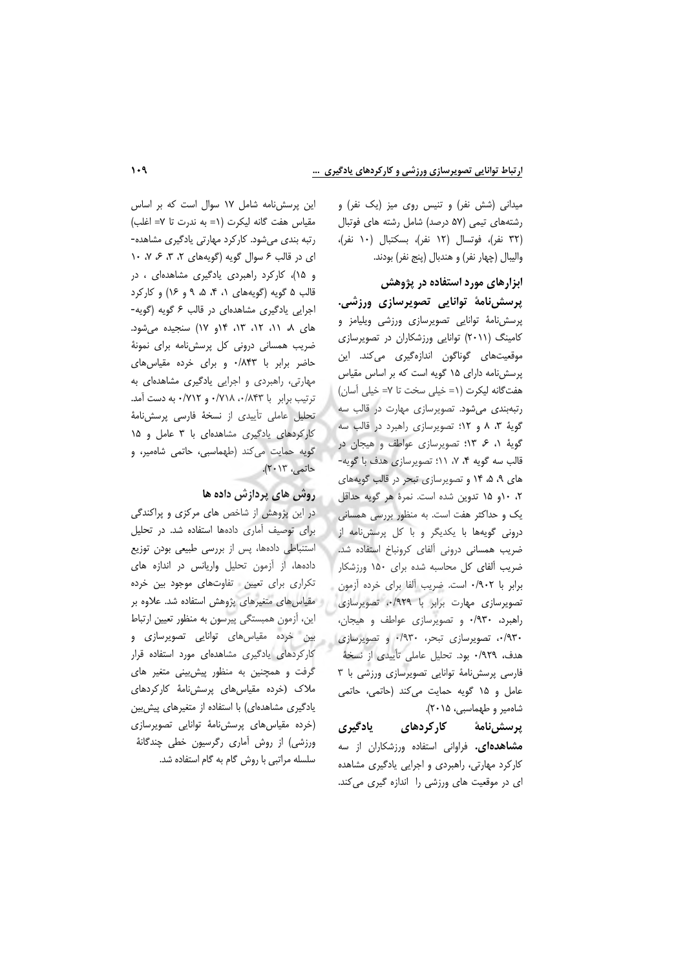میدانی (شش نفر) و تنیس روی میز (یک نفر) و رشتههای تیمی (۵۷ درصد) شامل رشته های فوتبال (۳۲ نفر)، فوتسال (۱۲ نفر)، بسكتبال (۱۰ نفر)، واليبال (چهار نفر) و هندبال (پنج نفر) بودند.

# ابزارهای مورد استفاده در پژوهش

پرسشینامهٔ توانایی تصویرسازی ورزشی. پرسشنامهٔ توانایی تصویرسازی ورزشی ویلیامز و کامینگ (۲۰۱۱) توانایی ورزشکاران در تصویرسازی موقعیتهای گوناگون اندازهگیری میکند. این پرسش نامه دارای ۱۵ گویه است که بر اساس مقیاس هفت گانه ليكرت (١= خيلي سخت تا ٧= خيلي آسان) رتبهبندی میشود. تصویرسازی مهارت در قالب سه گویهٔ ۳، ۸ و ۱۲؛ تصویرسازی راهبرد در قالب سه گویهٔ ۱، ۶ ۱۳؛ تصویرسازی عواطف و هیجان در قالب سه گویه ۴، ۷، ۱۱؛ تصویرسازی هدف با گویه-های ۹، ۵، ۱۴ و تصویرسازی تبحر در قالب گویههای ٢، ١٠و ١۵ تدوين شده است. نمرة هر گويه حداقل یک و حداکثر هفت است. به منظور بررسی همسانی درونی گویهها با یکدیگر و با کل پرسش نامه از ضریب همسانی درونی آلفای کرونباخ استفاده شد. ضریب آلفای کل محاسبه شده برای ١۵٠ ورزشکار برابر با ۰/۹۰۲ است. ضریب آلفا برای خرده آزمون تصویرسازی مهارت برابر با ۰/۹۲۹، تصویرسازی راهبرد، ۰/۹۳۰ و تصویرسازی عواطف و هیجان، ۰/۹۳۰، تصویرسازی تبحر، ۰/۹۳۰ و تصویرسازی هدف، ٩٢٩/٠ بود. تحليل عاملي تأييدي از نسخة فارسی پرسش نامهٔ توانایی تصویرسازی ورزشی با ۳ عامل و ١٥ گويه حمايت مي كند (حاتمي، حاتمي شاەمير و طهماسبى، ۲۰۱۵).

يادگيري یرسش نامهٔ کار کردهای **مشاهدهای.** فراوانی استفاده ورزشکاران از سه کارکرد مهارتی، راهبردی و اجرایی یادگیری مشاهده ای در موقعیت های ورزشی را اندازه گیری می کند.

این پرسش نامه شامل ١٧ سوال است كه بر اساس مقياس هفت گانه ليكرت (١= به ندرت تا ٧= اغلب) رتبه بندی می شود. کارکرد مهارتی یادگیری مشاهده-ای در قالب ۶ سوال گویه (گویههای ۲، ۳، ۶، ۱۰ / و ۱۵)، کارکرد راهبردی یادگیری مشاهدهای ، در قالب ۵ گویه (گویههای ۰، ۴، ۵، ۹ و ۱۶) و کارکرد اجرایی یادگیری مشاهدهای در قالب ۶ گویه (گویه-های ۸، ۱۱، ۱۲، ۱۳، ۱۴و ۱۷) سنجیده می شود. ضریب همسانی درونی کل پرسش نامه برای نمونهٔ حاضر برابر با ۸۴۳/۰ و برای خرده مقیاس های مهارتی، راهبردی و اجرایی یادگیری مشاهدهای به ترتيب برابر با ١٨۴٣، ٧١٨، ٧١٧٠ و ٧١٢٠، به دست آمد. تحلیل عاملی تأییدی از نسخهٔ فارسی پرسشنامهٔ کارکردهای یادگیری مشاهدهای با ۳ عامل و ۱۵ گویه حمایت میکند (طهماسبی، حاتمی شاهمیر، و حاتمي، ٢٠١٣).

# روش های پردازش داده ها

در این پژوهش از شاخص های مرکزی و پراکندگی برای توصیف آماری دادهها استفاده شد. در تحلیل استنباطی دادهها، پس از بررسی طبیعی بودن توزیع دادهها، از آزمون تحلیل واریانس در اندازه های تکراری برای تعیین تفاوتهای موجود بین خرده مقیاس های متغیرهای پژوهش استفاده شد. علاوه بر این، آزمون همبستگی پیرسون به منظور تعیین ارتباط بین خرده مقیاسهای توانایی تصویرسازی و کارکردهای یادگیری مشاهدهای مورد استفاده قرار گرفت و همچنین به منظور پیش بینی متغیر های ملاک (خرده مقیاسهای پرسشنامهٔ کارکردهای یادگیری مشاهدهای) با استفاده از متغیرهای پیش بین (خرده مقیاس های پرسش نامهٔ توانایی تصویرسازی ورزشی) از روش آماری رگرسیون خطی چندگانهٔ سلسله مراتبی با روش گام به گام استفاده شد.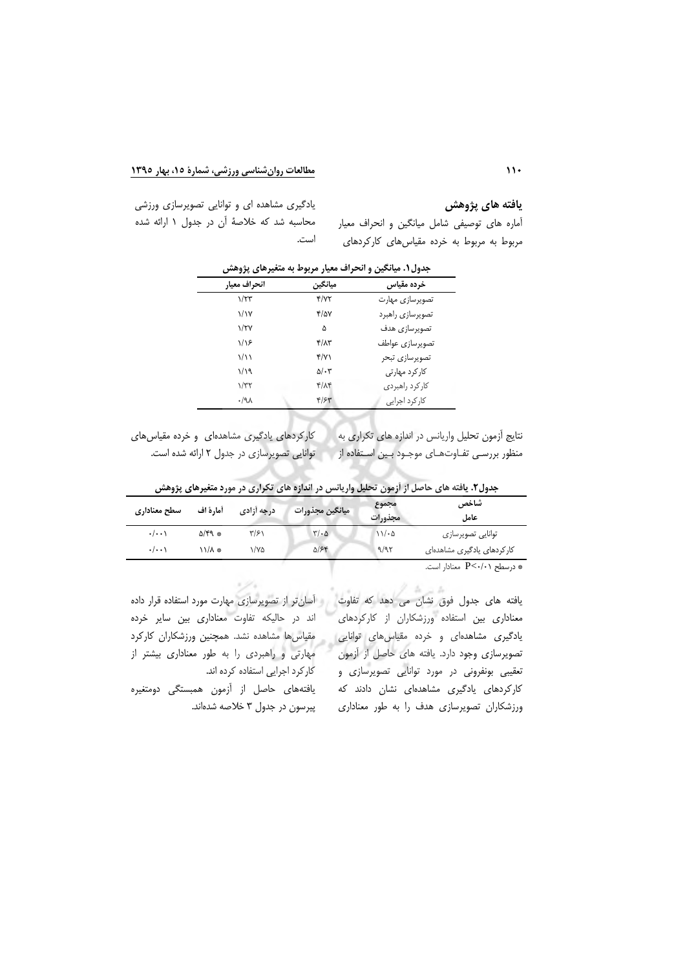يافته هاي پژوهش

أماره های توصیفی شامل میانگین و انحراف معیار

مربوط به مربوط به خرده مقیاس های کارکردهای

یادگیری مشاهده ای و توانایی تصویرسازی ورزشی محاسبه شد که خلاصهٔ آن در جدول ۱ ارائه شده است.

| ت 15<br><u>.</u>    | ,, , <u>, ,</u>      | "∽               |
|---------------------|----------------------|------------------|
| انحراف معيار        | مبانگين              | خرده مقياس       |
| 1/TT                | $\frac{1}{\sqrt{2}}$ | تصويرسازي مهارت  |
| ۱/۱۷                | ۴/۵۷                 | تصويرسازي راهبرد |
| $\sqrt{\Upsilon V}$ | ۵                    | تصويرسازى هدف    |
| ۱/۱۶                | ۴/۸۳                 | تصويرسازى عواطف  |
| 1/11                | ۴/۷۱                 | تصويرسازى تبحر   |
| ۱/۱۹                | $\Delta/\cdot 7$     | کار کرد مهارتی   |
| 1/T                 | ۴/۸۴                 | كاركرد راهبردى   |
| .44                 | ۴۱۶۳                 | کار کرد اجرایی   |

جدول ۱. میانگین و انحراف معیار مربوط به متغیرهای پژوهش

کارکردهای یادگیری مشاهدهای و خرده مقیاس های نتایج آزمون تحلیل واریانس در اندازه های تکراری به توانایی تصویرسازی در جدول ۲ ارائه شده است. منظور بررسـي تفــاوت هــاي موجــود بــين اســتفاده از

| سطح معناداري       | أما, ةَ اف     | درجه آزادی | ميانگين مجذورات | مجموع<br>مجذورات | شاخص<br>عاما .                                 |
|--------------------|----------------|------------|-----------------|------------------|------------------------------------------------|
| $\cdot/\cdot\cdot$ | $\Delta$ /۴۹ * | ۳۱۶۱       | $\frac{1}{2}$   | 11.6             | توانايي تصويرسازي                              |
| $\cdot/\cdot\cdot$ | * ۱۱/۸         | ۱/۷۵       | $\Delta$ /۶۴    | 9/97             | کار کردهای یادگیری مشاهدهای                    |
|                    |                |            |                 |                  | درسطح $P<\cdot/\cdot$ معنادار است. $\mathbb P$ |

جدول۲. یافته های حاصل از اَزمون تحلیل واریانس در اندازه های تکراری در مورد متغیرهای پژوهش

یافته های جدول فوق نشان می دهد که تفاوت و آسانتر از تصویرسازی مهارت مورد استفاده قرار داده معناداری بین استفاده ورزشکاران از کارکردهای یادگیری مشاهدهای و خرده مقیاس های توانایی تصویرسازی وجود دارد. یافته های حاصل از آزمون تعقیبی بونفرونی در مورد توانایی تصویرسازی و کارکردهای یادگیری مشاهدهای نشان دادند که ورزشکاران تصویرسازی هدف را به طور معناداری

 $-4$ 

اند در حالیکه تفاوت معناداری بین سایر خرده مقیاسها مشاهده نشد. همچنین ورزشکاران کارکرد مهارتی و راهبردی را به طور معناداری بیشتر از کار کرد اجرایی استفاده کرده اند.

یافتههای حاصل از آزمون همبستگی دومتغیره پیرسون در جدول ۳ خلاصه شدهاند.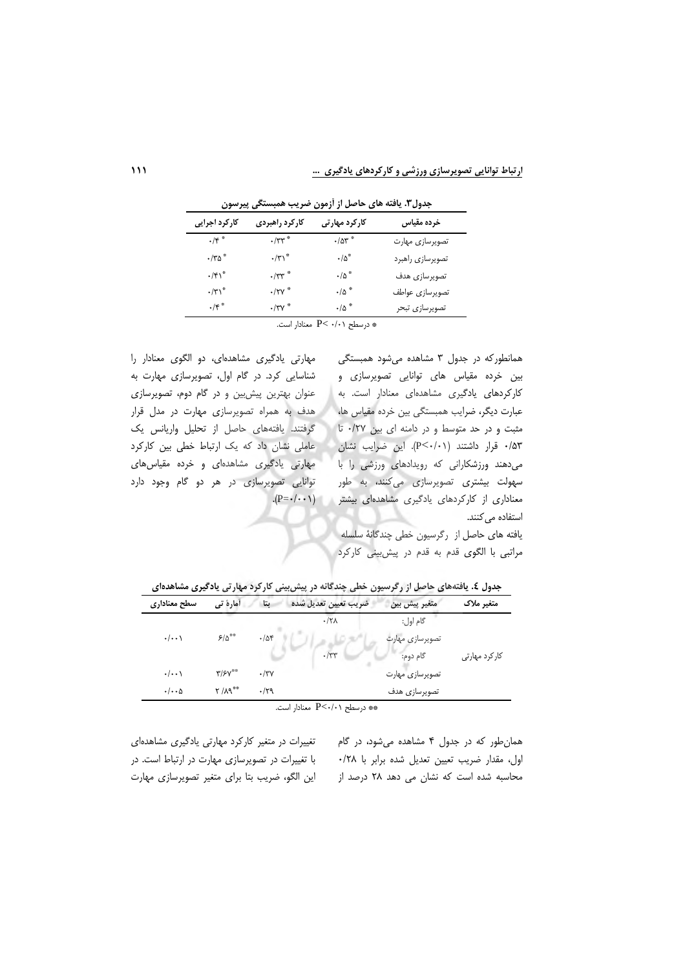ارتباط توانایی تصویرسازی ورزشی و کارکردهای یادگیری …

| کارکرد اجرایی            | كاركرد راهبردى       | کارکرد مهارتی    | خرده مقياس       |
|--------------------------|----------------------|------------------|------------------|
| $\cdot$ /۴ $*$           | $\cdot$ /٣٣ $^\circ$ | $\cdot$ /۵۳ $*$  | تصويرسازي مهارت  |
| $\cdot$ /٣۵ $^*$         | $\cdot/\mathbf{y}$   | $\cdot/\Delta^*$ | تصويرسازي راهبرد |
| $\cdot$ /۴۱ <sup>*</sup> | $\cdot$ /٣٣ $*$      | $\cdot/\Delta$ * | تصويرسازي هدف    |
| $\cdot/\tau\gamma^*$     | $\cdot$ /۲۷ $^*$     | $\cdot/\Delta$ * | تصويرسازي عواطف  |
| $\cdot$ /۴ $*$           | $\cdot$ /٣٧ $^*$     | $\cdot/\Delta$ * | تصويرسازي تبحر   |

جدول۳. یافته های حاصل از آزمون ضریب همبستگی پیرسون

\* درسطح P< ۰/۰۱ معنادار است.

مهارتی یادگیری مشاهدهای، دو الگوی معنادار را شناسایی کرد. در گام اول، تصویرسازی مهارت به عنوان بهترین پیش بین و در گام دوم، تصویرسازی هدف به همراه تصویرسازی مهارت در مدل قرار گرفتند. یافتههای حاصل از تحلیل واریانس یک عاملی نشان داد که یک ارتباط خطی بین کارکرد مهارتی یادگیری مشاهدهای و خرده مقیاسهای توانایی تصویرسازی در هر دو گام وجود دارد

همانطورکه در جدول ۳ مشاهده می شود همبستگی بین خرده مقیاس های توانایی تصویرسازی و كاركردهاى يادكيرى مشاهدهاى معنادار است. به عبارت دیگر، ضرایب همبستگی بین خرده مقیاس ها، مثبت و در حد متوسط و در دامنه ای بین ۰/۲۷ تا ۰/۵۳ قرار داشتند (P<۰/۰۱). این ضرایب نشان می دهند ورزشکارانی که رویدادهای ورزشی را با سهولت بیشتری تصویرسازی میکنند، به طور معناداری از کارکردهای یادگیری مشاهدهای بیشتر (P=٠/٠٠١). استفاده می کنند. یافته های حاصل از رگرسیون خطی چندگانهٔ سلسله مراتبی با الگوی قدم به قدم در پیش بینی کارکرد

جدول ٤. یافتههای حاصل از رگرسیون خطی چندگانه در پیش بینی کارکرد مهارتی یادگیری مشاهدهای

| سطح معنادارى              | أمارة تي                         | بتا               | ضريب تعيين تعديل شده | متغير پيش بين           | متغیر ملاک     |
|---------------------------|----------------------------------|-------------------|----------------------|-------------------------|----------------|
|                           |                                  |                   | $\cdot$ /۲ $\Lambda$ | گام اول:                |                |
| $\cdot/\cdot\cdot$        | 5/8                              | $-104$            |                      | تصويرسازى مهارت         |                |
|                           |                                  |                   | $-777$               | گام دوم:                | کار کرد مهارتی |
| $\cdot/\cdot\cdot$        | $\Upsilon/\Upsilon V^{\ast\ast}$ | $\cdot$ /۳ $\vee$ |                      | تصویرساز <i>ی</i> مهارت |                |
| $\cdot/\cdot\cdot \Delta$ | Y / A9                           | .79               |                      | تصويرسازى هدف           |                |

\*\* درسطح P<٠/٠١ معنادار است.

همان طور که در جدول ۴ مشاهده می شود، در گام اول، مقدار ضريب تعيين تعديل شده برابر با ٢٨/٠ محاسبه شده است که نشان می دهد ۲۸ درصد از

تغییرات در متغیر کارکرد مهارتی یادگیری مشاهدهای با تغییرات در تصویرسازی مهارت در ارتباط است. در این الگو، ضریب بتا برای متغیر تصویرسازی مهارت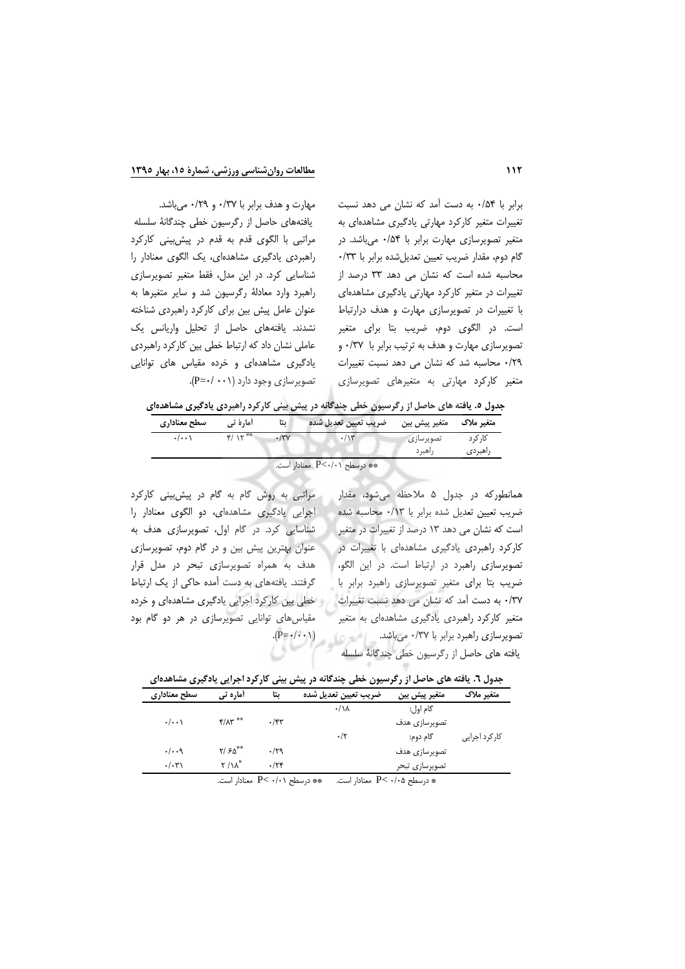#### مطالعات روان شناسی ورزشی، شمارهٔ ۱۵، بهار ۱۳۹۰

برابر با ۵۴/۰ به دست آمد که نشان می دهد نسبت تغییرات متغیر کارکرد مهارتی یادگیری مشاهدهای به متغیر تصویرسازی مهارت برابر با ۰/۵۴ میباشد. در گام دوم، مقدار ضریب تعیین تعدیل شده برابر با ۰/٣٣ محاسبه شده است که نشان می دهد ۳۳ درصد از تغییرات در متغیر کارکرد مهارتی یادگیری مشاهدهای با تغییرات در تصویرسازی مهارت و هدف درارتباط است. در الگوی دوم، ضریب بتا برای متغیر تصویرسازی مهارت و هدف به ترتیب برابر با ۰/۳۷ و ٢٩/٠ محاسبه شد كه نشان مى دهد نسبت تغييرات متغیر کارکرد مهارتی به متغیرهای تصویرسازی

مهارت و هدف برابر با ۰/٣٧ و ٠/٢٩ مى باشد. یافتههای حاصل از رگرسیون خطی چندگانهٔ سلسله مراتبی با الگوی قدم به قدم در پیش بینی کارکرد راهبردی یادگیری مشاهدهای، یک الگوی معنادار را شناسایی کرد. در این مدل، فقط متغیر تصویرسازی راهبرد وارد معادلة رگرسيون شد و ساير متغيرها به عنوان عامل پیش بین برای کارکرد راهبردی شناخته نشدند. یافتههای حاصل از تحلیل واریانس یک عاملی نشان داد که ارتباط خطی بین کارکرد راهبردی یادگیری مشاهدهای و خرده مقیاس های توانایی تصویرسازی وجود دارد (۰۰۱- /۰).

جدول ۵. یافته های حاصل از رگرسیون خطی چندگانه در پیش بینی کارکرد راهبردی یادگیری مشاهدهای

| سطح معنادارى        | آما, ۂ تے                 | ىتا | متغير پيش بين مصريب تعيين تعديل شده |                     | متغیر ملاک          |
|---------------------|---------------------------|-----|-------------------------------------|---------------------|---------------------|
| $\cdot$ / $\cdot$ \ | $F / V^{\otimes \otimes}$ |     | $\cdot/\gamma$                      | تصويرسازى<br>راهبرد | کا, کہ د<br>راهبردى |

\*\* درسطح P<٠/٠١ معنادار است.

همانطورکه در جدول ۵ ملاحظه میشود، مقدار ضریب تعیین تعدیل شده برابر با ۰/۱۳ محاسبه شده است که نشان می دهد ۱۳ درصد از تغییرات در متغیر کارکرد راهبردی یادگیری مشاهدهای با تغییرات در تصویرسازی راهبرد در ارتباط است. در این الگو، ضریب بتا برای متغیر تصویرسازی راهبرد برابر با ٣٧/٠ به دست آمد كه نشان مى دهد نسبت تغييرات متغیر کارکرد راهبردی یادگیری مشاهدهای به متغیر تصویرسازی راهبرد برابر با ۰/٣٧ میباشد. است  $(P = \cdot / \cdot \cdot )$ يافته هاى حاصل از رگرسيون خطى چندگانهٔ سلسله

مراتبی به روش گام به گام در پیش بینی کارکرد اجرایی یادگیری مشاهدهای، دو الگوی معنادار را شناسایی کرد. در گام اول، تصویرسازی هدف به عنوان بهترین پیش بین و در گام دوم، تصویرسازی هدف به همراه تصویرسازی تبحر در مدل قرار گرفتند. یافتههای به دست آمده حاکی از یک ارتباط خطی بین کارکرد اجرایی یادگیری مشاهدهای و خرده مقیاس های توانایی تصویرسازی در هر دو گام بود

| جدول ٦. یافته های حاصل از رگرسیون خطی چندگانه در پیش بینی کارکرد اجرایی یادگیری مشاهدهای |  |  |  |  |  |  |  |  |  |
|------------------------------------------------------------------------------------------|--|--|--|--|--|--|--|--|--|
|------------------------------------------------------------------------------------------|--|--|--|--|--|--|--|--|--|

| سطح معناداري            | آماره تی                    | ىتا     | ضريب تعيين تعديل شده | متغير پيش بين  | متغیر ملاک    |
|-------------------------|-----------------------------|---------|----------------------|----------------|---------------|
|                         |                             |         | $\cdot/\lambda$      | گام اول:       |               |
| $\cdot/\cdot\cdot$      | $f/\Lambda r$ <sup>**</sup> | $.$ /۴۳ |                      | تصويرسازى هدف  |               |
|                         |                             |         | $\cdot/\tau$         | گام دوم:       | کارکرد اجرایی |
| . /9                    | Y/50                        | .79     |                      | تصويرسازى هدف  |               |
| $\cdot/\cdot\mathsf{r}$ | $\mathsf{r}/\mathsf{N}^*$   | .74     |                      | تصويرسازى تبحر |               |
|                         |                             | $\sim$  | $\sim$               |                |               |

\* درسطح P< ٠/٠۵ معنادار است. \* تورسطح P< ٠/٠١ معنادار است.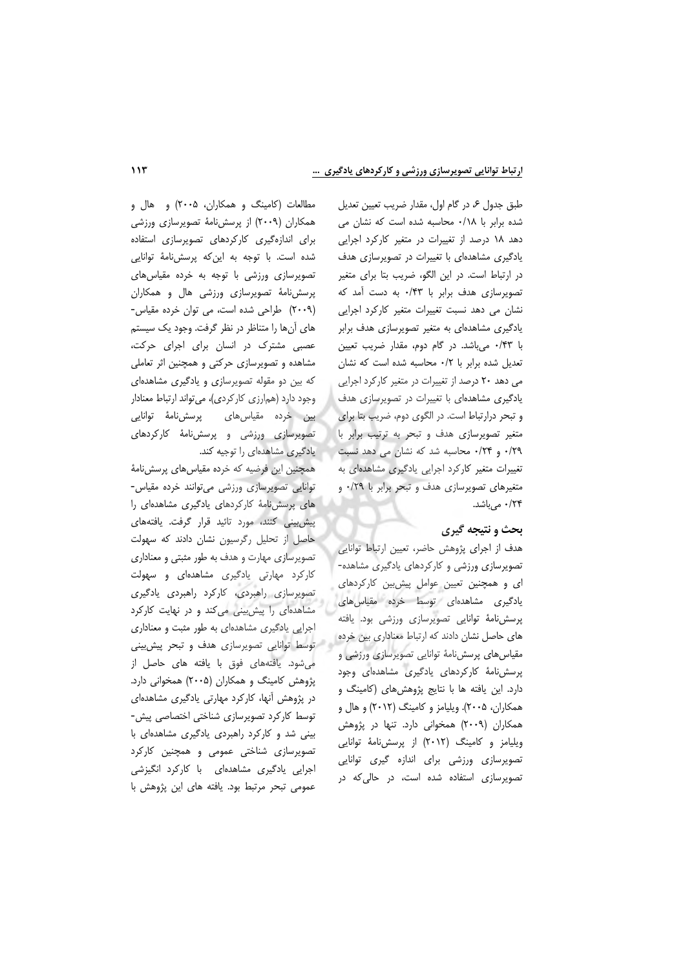طبق جدول ع، در گام اول، مقدار ضريب تعيين تعديل شده برابر با ۰/۱۸ محاسبه شده است که نشان می دهد ١٨ درصد از تغييرات در متغير كاركرد اجرايي یادگیری مشاهدهای با تغییرات در تصویرسازی هدف در ارتباط است. در این الگو، ضریب بتا برای متغیر تصویرسازی هدف برابر با ۰/۴۳ به دست آمد که نشان می دهد نسبت تغییرات متغیر کارکرد اجرایی یادگیری مشاهدهای به متغیر تصویرسازی هدف برابر با ۴۳/۰ میباشد. در گام دوم، مقدار ضریب تعیین تعدیل شده برابر با ۰/۲ محاسبه شده است که نشان می دهد ۲۰ درصد از تغییرات در متغیر کارکرد اجرایی یادگیری مشاهدهای با تغییرات در تصویرسازی هدف و تبحر درارتباط است. در الگوی دوم، ضریب بتا برای متغیر تصویرسازی هدف و تبحر به ترتیب برابر با ۰/۲۹ و ۰/۲۴ محاسبه شد که نشان می دهد نسبت تغییرات متغیر کارکرد اجرایی یادگیری مشاهدهای به متغیرهای تصویرسازی هدف و تبحر برابر با ۰/٢٩ و ۰/۲۴ میباشد.

### بحث و نتیجه گیری

هدف از اجرای پژوهش حاضر، تعیین ارتباط توانایی تصویرسازی ورزشی و کارکردهای یادگیری مشاهده-ای و همچنین تعیین عوامل پیش بین کارکردهای یادگیری مشاهدهای توسط خرده مقیاس های پرسشنامهٔ توانایی تصویرسازی ورزشی بود. یافته های حاصل نشان دادند که ارتباط معناداری بین خرده مقیاس های پرسش نامهٔ توانایی تصویرسازی ورزشی و پرسشنامهٔ کارکردهای یادگیری مشاهدهای وجود دارد. این یافته ها با نتایج پژوهش های (کامینگ و همکاران، ۲۰۰۵). ویلیامز و کامینگ (۲۰۱۲) و هال و همکاران (٢٠٠٩) همخوانی دارد. تنها در پژوهش ویلیامز و کامینگ (۲۰۱۲) از پرسشنامهٔ توانایی تصویرسازی ورزشی برای اندازه گیری توانایی تصویرسازی استفاده شده است، در حالی که در

مطالعات (کامینگ و همکاران، ۲۰۰۵) و هال و همکاران (۲۰۰۹) از پرسشiامهٔ تصویرسازی ورزشی برای اندازهگیری کارکردهای تصویرسازی استفاده شده است. با توجه به این که پرسشنامهٔ توانایی تصویرسازی ورزشی با توجه به خرده مقیاس های پرسشنامهٔ تصویرسازی ورزشی هال و همکاران (٢٠٠٩) طراحی شده است، می توان خرده مقیاس-های آنها را متناظر در نظر گرفت. وجود یک سیستم عصبی مشترک در انسان برای اجرای حرکت، مشاهده و تصویرسازی حرکتی و همچنین اثر تعاملی که بین دو مقوله تصویرسازی و یادگیری مشاهدهای وجود دارد (همارزی کارکردی)، می تواند ارتباط معنادار بین خردہ مقیاسِهای پرسشiامهٔ توانایی تصویرسازی ورزشی و پرسشiامهٔ کارکردهای یادگیری مشاهدهای را توجیه کند.

همچنین این فرضیه که خرده مقیاس های پرسش نامهٔ توانایی تصویرسازی ورزشی میتوانند خرده مقیاس-های پرسش نامهٔ کارکردهای یادگیری مشاهدهای را پیش بینی کنند، مورد تائید قرار گرفت. یافتههای حاصل از تحلیل رگرسیون نشان دادند که سهولت تصویرسازی مهارت و هدف به طور مثبتی و معناداری کارکرد مهارتی یادگیری مشاهدهای و سهولت تصویرسازی راهبردی، کارکرد راهبردی یادگیری مشاهدهای را پیش بینی می کند و در نهایت کارکرد اجرایی یادگیری مشاهدهای به طور مثبت و معناداری و توسط توانایی تصویرساز*ی* هدف و تبحر پیش بینی می شود. یافتههای فوق با یافته های حاصل از پژوهش کامینگ و همکاران (۲۰۰۵) همخوانی دارد. در پژوهش آنها، کارکرد مهارتی یادگیری مشاهدهای توسط کارکرد تصویرسازی شناختی اختصاصی پیش-بینی شد و کارکرد راهبردی یادگیری مشاهدهای با تصویرسازی شناختی عمومی و همچنین کارکرد اجرایی یادگیری مشاهدهای با کارکرد انگیزشی عمومی تبحر مرتبط بود. یافته های این پژوهش با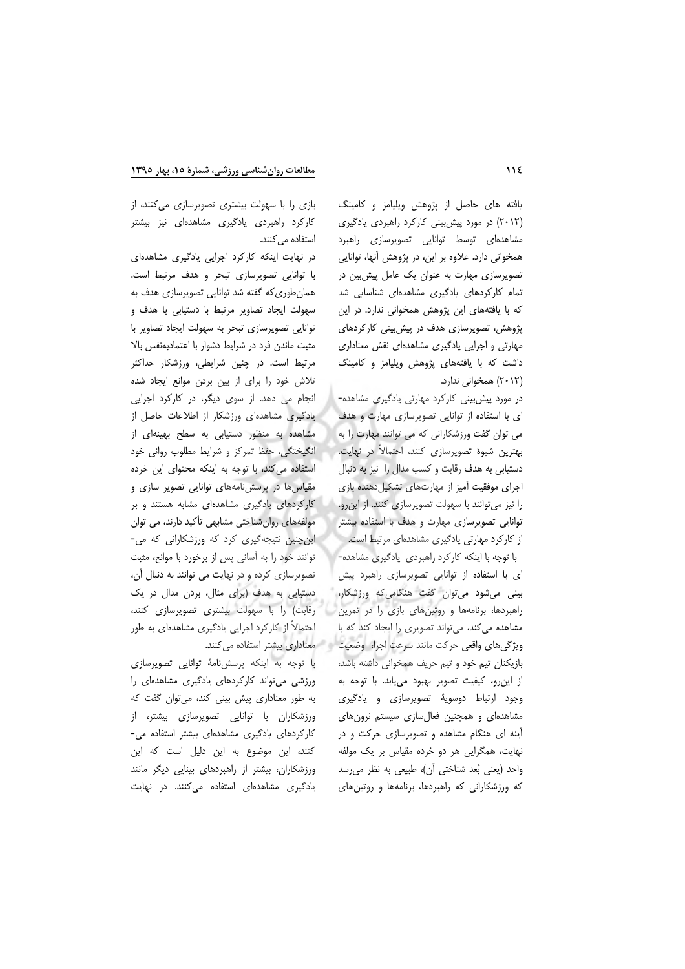یافته های حاصل از پژوهش ویلیامز و کامینگ (۲۰۱۲) در مورد پیش بینی کارکرد راهبردی یادگیری مشاهدهای توسط توانایی تصویرسازی راهبرد همخوانی دارد. علاوه بر این، در پژوهش آنها، توانایی تصویرسازی مهارت به عنوان یک عامل پیش بین در تمام کارکردهای یادگیری مشاهدهای شناسایی شد که با یافتههای این پژوهش همخوانی ندارد. در این پژوهش، تصویرسازی هدف در پیش بینی کارکردهای مهارتی و اجرایی یادگیری مشاهدهای نقش معناداری داشت که با یافتههای پژوهش ویلیامز و کامینگ (۲۰۱۲) همخوانی ندارد.

در مورد پیش بینی کارکرد مهارتی یادگیری مشاهده-ای با استفاده از توانایی تصویرسازی مهارت و هدف می توان گفت ورزشکارانی که می توانند مهارت را به بهترین شیوهٔ تصویرسازی کنند، احتمالاً در نهایت، دستیابی به هدف رقابت و کسب مدال را نیز به دنبال اجرای موفقیت آمیز از مهارتهای تشکیل دهنده بازی را نیز میتوانند با سهولت تصویرسازی کنند. از این رو، توانایی تصویرسازی مهارت و هدف با استفاده بیشتر از کارکرد مهارتی یادگیری مشاهدهای مرتبط است.

با توجه با اینکه کارکرد راهبردی یادگیری مشاهده-ای با استفاده از توانایی تصویرسازی راهبرد پیش بینی میشود می توان گفت هنگامی که ورزشکار، راهبردها، برنامهها و روتینهای بازی را در تمرین مشاهده می کند، می تواند تصویری را ایجاد کند که با ویژگیهای واقعی حرکت مانند سرعت اجرا، وضعیت مسلم میکنند. استفاده میکنند. بازیکنان تیم خود و تیم حریف همخوانی داشته باشد، از این رو، کیفیت تصویر بهبود می یابد. با توجه به وجود ارتباط دوسویهٔ تصویرسازی و یادگیری مشاهدهای و همچنین فعالسازی سیستم نرونهای آینه ای هنگام مشاهده و تصویرسازی حرکت و در نهایت، همگرایی هر دو خرده مقیاس بر یک مولفه واحد (يعني بُعد شناختي أن)، طبيعي به نظر مي رسد که ورزشکارانی که راهبردها، برنامهها و روتینهای

بازی را با سهولت بیشتری تصویرسازی میکنند، از کارکرد راهبردی یادگیری مشاهدهای نیز بیشتر استفاده می کنند.

در نهایت اینکه کارکرد اجرایی یادگیری مشاهدهای با توانایی تصویرسازی تبحر و هدف مرتبط است. همان طوری که گفته شد توانایی تصویرسازی هدف به سهولت ایجاد تصاویر مرتبط با دستیابی با هدف و توانایی تصویرسازی تبحر به سهولت ایجاد تصاویر با مثبت ماندن فرد در شرایط دشوار با اعتمادبهنفس بالا مرتبط است. در چنین شرایطی، ورزشکار حداکثر تلاش خود را برای از بین بردن موانع ایجاد شده انجام می دهد. از سوی دیگر، در کارکرد اجرایی یادگیری مشاهدهای ورزشکار از اطلاعات حاصل از مشاهده به منظور دستیابی به سطح بهینهای از انگیختگی، حفظ تمرکز و شرایط مطلوب روانی خود استفاده می کند، با توجه به اینکه محتوای این خرده مقیاسها در پرسشنامههای توانایی تصویر سازی و کارکردهای یادگیری مشاهدهای مشابه هستند و بر مولفههای روانشناختی مشابهی تأکید دارند، می توان این چنین نتیجهگیری کرد که ورزشکارانی که می-توانند خود را به آسانی پس از برخورد با موانع، مثبت تصویرسازی کرده و در نهایت می توانند به دنبال آن، دستیابی به هدف (برای مثال، بردن مدال در یک رقابت) را با سهولت بیشتری تصویرسازی کنند، احتمالاً از کارکرد اجرایی یادگیری مشاهدهای به طور

با توجه به اینکه پرسشنامهٔ توانایی تصویرسازی ورزشی می تواند کارکردهای یادگیری مشاهدهای را به طور معناداری پیش بینی کند، می توان گفت که ورزشکاران با توانایی تصویرسازی بیشتر، از کارکردهای یادگیری مشاهدهای بیشتر استفاده می-کنند، این موضوع به این دلیل است که این ورزشکاران، بیشتر از راهبردهای بینایی دیگر مانند یادگیری مشاهدهای استفاده می کنند. در نهایت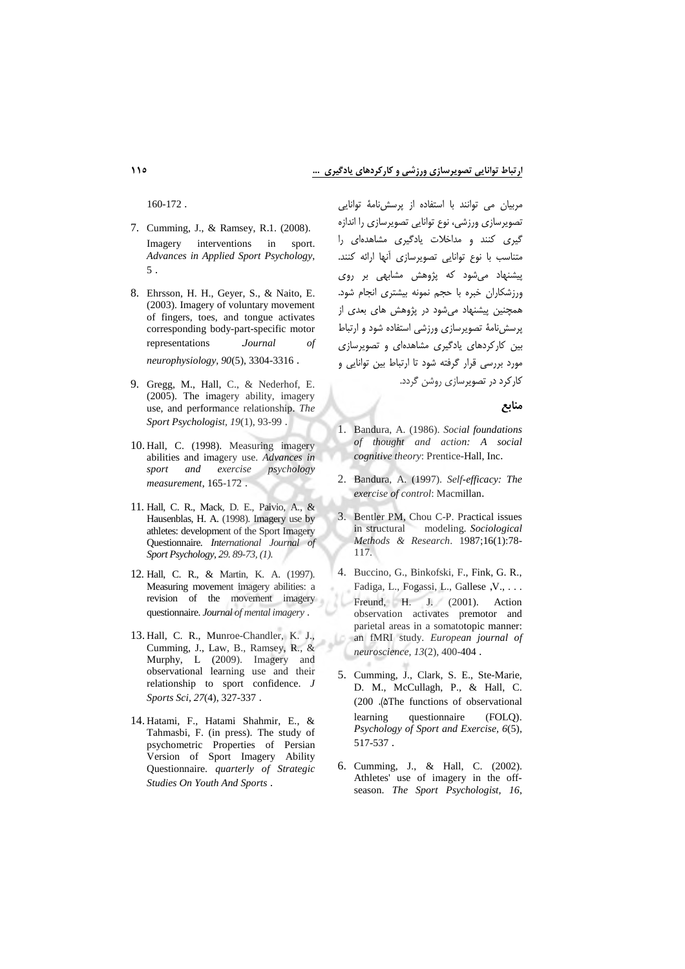$160-172$ .

- 7. Cumming, J., & Ramsey, R.1. (2008). Imagery interventions  $in$ sport. Advances in Applied Sport Psychology,  $5<sub>1</sub>$
- 8. Ehrsson, H. H., Geyer, S., & Naito, E. (2003). Imagery of voluntary movement of fingers, toes, and tongue activates corresponding body-part-specific motor representations Journal of neurophysiology, 90(5), 3304-3316.
- 9. Gregg, M., Hall, C., & Nederhof, E. (2005). The imagery ability, imagery use, and performance relationship. The Sport Psychologist, 19(1), 93-99.
- 10. Hall, C. (1998). Measuring imagery abilities and imagery use. Advances in and exercise psychology sport measurement, 165-172.
- 11. Hall, C. R., Mack, D. E., Paivio, A., & Hausenblas, H. A. (1998). Imagery use by athletes: development of the Sport Imagery Questionnaire. International Journal of Sport Psychology, 29. 89-73, (1).
- 12. Hall, C. R., & Martin, K. A. (1997). Measuring movement imagery abilities: a revision of the movement imagery questionnaire. Journal of mental imagery.
- 13. Hall, C. R., Munroe-Chandler, K. J., Cumming, J., Law, B., Ramsey, R., & Murphy, L (2009). Imagery and<br>observational learning use and their relationship to sport confidence. J Sports Sci, 27(4), 327-337.
- 14. Hatami, F., Hatami Shahmir, E., & Tahmasbi, F. (in press). The study of psychometric Properties of Persian Version of Sport Imagery Ability Questionnaire. quarterly of Strategic Studies On Youth And Sports.

مربیان می توانند با استفاده از پرسشنامهٔ توانایی تصویرسازی ورزشی، نوع توانایی تصویرسازی را اندازه گیری کنند و مداخلات یادگیری مشاهدهای را متناسب با نوع توانايي تصويرسازي آنها ارائه كنند. پیشنهاد می شود که پژوهش مشابهی بر روی ورزشکاران خبره با حجم نمونه بیشتری انجام شود. همچنین پیشنهاد می شود در پژوهش های بعدی از پرسش نامهٔ تصویرسازی ورزشی استفاده شود و ارتباط بین کارکردهای یادگیری مشاهدهای و تصویرسازی مورد بررسی قرار گرفته شود تا ارتباط بین توانایی و کار کرد در تصویرسازی روشن گردد.

منابع

- 1. Bandura, A. (1986). Social foundations of thought and action: A social cognitive theory: Prentice-Hall, Inc.
- 2. Bandura, A. (1997). Self-efficacy: The exercise of control: Macmillan.
- 3. Bentler PM, Chou C-P. Practical issues in structural modeling. Sociological Methods & Research. 1987;16(1):78-117.
- 4. Buccino, G., Binkofski, F., Fink, G. R., Fadiga, L., Fogassi, L., Gallese, V., ... Freund, H. J. (2001). Action observation activates premotor and parietal areas in a somatotopic manner: an fMRI study. European journal of neuroscience, 13(2), 400-404.
- 5. Cumming, J., Clark, S. E., Ste-Marie, D. M., McCullagh, P., & Hall, C. (200 . AThe functions of observational learning questionnaire  $(FOLO)$ . Psychology of Sport and Exercise, 6(5), 517-537.
- 6. Cumming, J., & Hall, C. (2002). Athletes' use of imagery in the offseason. The Sport Psychologist, 16,